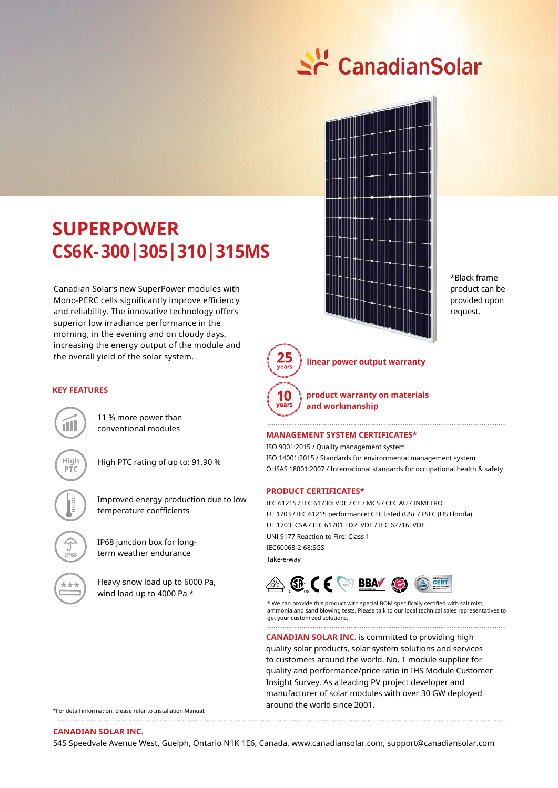# Sc CanadianSolar



\*Black frame product can be provided upon request.

## **SUPErPoWEr CS6K- 300|305|310|315MS**

Canadian Solar's new SuperPower modules with Mono-PERC cells significantly improve efficiency and reliability. The innovative technology offers superior low irradiance performance in the morning, in the evening and on cloudy days, increasing the energy output of the module and the overall yield of the solar system.



**linear power output warranty**



**product warranty on materials and workmanship**

### **ManageMent SySteM CertifiCateS\***

ISO 9001:2015 / Quality management system ISO 14001:2015 / Standards for environmental management system OHSAS 18001:2007 / International standards for occupational health & safety

### **ProduCt CertifiCateS\***

IEC 61215 / IEC 61730: VDE / CE / MCS / CEC AU / INMETRO UL 1703 / IEC 61215 performance: CEC listed (US) / FSEC (US Florida) UL 1703: CSA / IEC 61701 ED2: VDE / IEC 62716: VDE UNI 9177 Reaction to Fire: Class 1 IEC60068-2-68:SGS Take-e-way



\* We can provide this product with special BOM specifically certified with salt mist, ammonia and sand blowing tests. Please talk to our local technical sales representatives to get your customized solutions. 

**CANADIAN SOLAR INC.** is committed to providing high quality solar products, solar system solutions and services to customers around the world. No. 1 module supplier for quality and performance/price ratio in IHS Module Customer Insight Survey. As a leading PV project developer and manufacturer of solar modules with over 30 GW deployed around the world since 2001.

\*For detail information, please refer to Installation Manual.

### **Canadian Solar inC.**

545 Speedvale Avenue West, Guelph, Ontario N1K 1E6, Canada, www.canadiansolar.com, support@canadiansolar.com

### **KEY FEaTUrES**

11 % more power than conventional modules

n III.

**iP68**

**High** High PTC rating of up to: 91.90 %

Improved energy production due to low temperature coefficients

IP68 junction box for longterm weather endurance

Heavy snow load up to 6000 Pa, wind load up to 4000 Pa \*